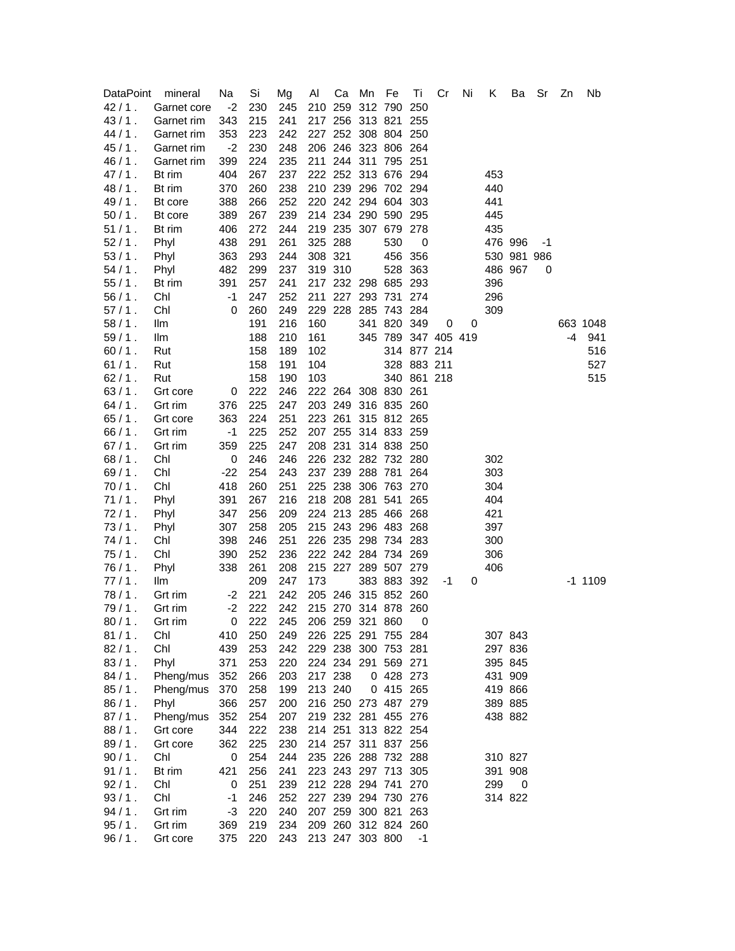| <b>DataPoint</b> | mineral            | Na         | Si  | Mg  | Al      | Ca      | Mn              | Fe                  | Τi          | Cr                  | Ni | Κ   | Ba          | Sr | Zn | Nb        |
|------------------|--------------------|------------|-----|-----|---------|---------|-----------------|---------------------|-------------|---------------------|----|-----|-------------|----|----|-----------|
| $42/1$ .         | Garnet core        | $-2$       | 230 | 245 |         | 210 259 | 312 790         |                     | 250         |                     |    |     |             |    |    |           |
| $43/1$ .         | Garnet rim         | 343        | 215 | 241 |         |         |                 | 217 256 313 821     | 255         |                     |    |     |             |    |    |           |
| $44/1$ .         | Garnet rim         | 353        | 223 | 242 |         |         |                 | 227 252 308 804 250 |             |                     |    |     |             |    |    |           |
| $45/1$ .         | Garnet rim         | $-2$       | 230 | 248 |         |         |                 | 206 246 323 806 264 |             |                     |    |     |             |    |    |           |
| $46/1$ .         | Garnet rim         | 399        | 224 | 235 |         |         |                 | 211 244 311 795 251 |             |                     |    |     |             |    |    |           |
| $47/1$ .         | Bt rim             | 404        | 267 | 237 |         |         |                 | 222 252 313 676 294 |             |                     |    | 453 |             |    |    |           |
| $48/1$ .         | Bt rim             | 370        | 260 | 238 |         |         |                 | 210 239 296 702 294 |             |                     |    | 440 |             |    |    |           |
| 49/1.            | Bt core            | 388        | 266 | 252 |         |         |                 | 220 242 294 604 303 |             |                     |    | 441 |             |    |    |           |
| $50/1$ .         | Bt core            | 389        | 267 | 239 |         |         |                 | 214 234 290 590 295 |             |                     |    | 445 |             |    |    |           |
| $51/1$ .         | Bt rim             | 406        | 272 | 244 |         |         |                 | 219 235 307 679 278 |             |                     |    | 435 |             |    |    |           |
| $52/1$ .         | Phyl               | 438        | 291 | 261 | 325 288 |         |                 | 530                 | 0           |                     |    |     | 476 996     | -1 |    |           |
| $53/1$ .         | Phyl               | 363        | 293 | 244 | 308 321 |         |                 |                     | 456 356     |                     |    |     | 530 981 986 |    |    |           |
| $54/1$ .         | Phyl               | 482        | 299 | 237 | 319 310 |         |                 |                     | 528 363     |                     |    |     | 486 967     | 0  |    |           |
| $55/1$ .         | Bt rim             | 391        | 257 | 241 |         |         |                 | 217 232 298 685 293 |             |                     |    | 396 |             |    |    |           |
| $56/1$ .         | Chl                | $-1$       | 247 | 252 |         |         |                 | 211 227 293 731 274 |             |                     |    | 296 |             |    |    |           |
| $57/1$ .         | Chl                | 0          | 260 | 249 |         |         |                 | 229 228 285 743 284 |             |                     |    | 309 |             |    |    |           |
| 58/1.            | llm                |            | 191 | 216 | 160     |         |                 | 341 820 349         |             | 0                   | 0  |     |             |    |    | 663 1048  |
| 59/1.            | llm                |            | 188 | 210 | 161     |         |                 |                     |             | 345 789 347 405 419 |    |     |             |    | -4 | 941       |
| $60/1$ .         | Rut                |            | 158 | 189 | 102     |         |                 |                     | 314 877 214 |                     |    |     |             |    |    | 516       |
| 61/1.            | Rut                |            | 158 | 191 | 104     |         |                 |                     | 328 883 211 |                     |    |     |             |    |    | 527       |
| $62/1$ .         | Rut                |            | 158 | 190 | 103     |         |                 |                     | 340 861 218 |                     |    |     |             |    |    | 515       |
| $63/1$ .         | Grt core           | 0          | 222 | 246 |         |         |                 | 222 264 308 830 261 |             |                     |    |     |             |    |    |           |
| $64/1$ .         | Grt rim            | 376        | 225 | 247 |         |         |                 | 203 249 316 835 260 |             |                     |    |     |             |    |    |           |
| $65/1$ .         | Grt core           | 363        | 224 | 251 |         |         |                 | 223 261 315 812 265 |             |                     |    |     |             |    |    |           |
| $66/1$ .         | Grt rim            | -1         | 225 | 252 |         |         |                 | 207 255 314 833 259 |             |                     |    |     |             |    |    |           |
| $67/1$ .         | Grt rim            | 359        | 225 | 247 |         |         |                 | 208 231 314 838 250 |             |                     |    |     |             |    |    |           |
| $68/1$ .         | Chl                | 0          | 246 | 246 |         |         |                 | 226 232 282 732 280 |             |                     |    | 302 |             |    |    |           |
| 69/1.            | Chl                | $-22$      | 254 | 243 |         |         |                 | 237 239 288 781 264 |             |                     |    | 303 |             |    |    |           |
| $70/1$ .         | Chl                | 418        | 260 | 251 |         |         |                 | 225 238 306 763 270 |             |                     |    | 304 |             |    |    |           |
| 71/1.            | Phyl               | 391        | 267 | 216 |         |         |                 | 218 208 281 541 265 |             |                     |    | 404 |             |    |    |           |
| $72/1$ .         | Phyl               | 347        | 256 | 209 |         |         |                 | 224 213 285 466 268 |             |                     |    | 421 |             |    |    |           |
| 73/1.            | Phyl               | 307        | 258 | 205 |         |         |                 | 215 243 296 483 268 |             |                     |    | 397 |             |    |    |           |
| 74/1.            | Chl                | 398        | 246 | 251 |         |         |                 | 226 235 298 734 283 |             |                     |    | 300 |             |    |    |           |
| 75/1.            | Chl                | 390        | 252 | 236 |         |         |                 | 222 242 284 734 269 |             |                     |    | 306 |             |    |    |           |
| $76/1$ .         | Phyl               | 338        | 261 | 208 |         |         |                 | 215 227 289 507 279 |             |                     |    | 406 |             |    |    |           |
| $77/1$ .         | llm                |            | 209 | 247 | 173     |         |                 | 383 883 392         |             | -1                  | 0  |     |             |    |    | $-1$ 1109 |
| 78/1.            | Grt rim            | -2         | 221 | 242 |         |         |                 | 205 246 315 852 260 |             |                     |    |     |             |    |    |           |
| 79/1.            | Grt rim            | $-2$       | 222 | 242 |         |         |                 | 215 270 314 878 260 |             |                     |    |     |             |    |    |           |
| $80/1$ .         | Grt rim            | 0          | 222 | 245 |         |         | 206 259 321 860 |                     | 0           |                     |    |     |             |    |    |           |
| 81/1.            | Chl                | 410        | 250 | 249 |         |         |                 | 226 225 291 755 284 |             |                     |    |     | 307 843     |    |    |           |
| 82/1.            | Chl                | 439        | 253 | 242 |         |         |                 | 229 238 300 753 281 |             |                     |    |     | 297 836     |    |    |           |
| $83/1$ .         | Phyl               | 371        | 253 | 220 |         |         |                 | 224 234 291 569 271 |             |                     |    |     | 395 845     |    |    |           |
| 84/1.            | Pheng/mus          | 352        | 266 | 203 | 217 238 |         |                 | 0 428 273           |             |                     |    |     | 431 909     |    |    |           |
| $85/1$ .         | Pheng/mus          | 370        | 258 | 199 | 213 240 |         |                 | 0 415 265           |             |                     |    |     | 419 866     |    |    |           |
| $86/1$ .         | Phyl               | 366        | 257 | 200 |         |         |                 | 216 250 273 487 279 |             |                     |    |     | 389 885     |    |    |           |
| 87/1.            | Pheng/mus          | 352        | 254 | 207 |         |         |                 | 219 232 281 455 276 |             |                     |    |     | 438 882     |    |    |           |
| $88/1$ .         | Grt core           | 344        | 222 | 238 |         |         |                 | 214 251 313 822 254 |             |                     |    |     |             |    |    |           |
| 89/1.            | Grt core           | 362        | 225 | 230 |         |         |                 | 214 257 311 837 256 |             |                     |    |     |             |    |    |           |
| $90/1$ .         | Chl                | 0          | 254 | 244 |         |         |                 | 235 226 288 732 288 |             |                     |    |     | 310 827     |    |    |           |
| 91/1.            | Bt rim             | 421        | 256 | 241 |         |         |                 | 223 243 297 713 305 |             |                     |    |     | 391 908     |    |    |           |
| 92/1.            | Chl                | 0          | 251 | 239 |         |         |                 | 212 228 294 741 270 |             |                     |    | 299 | 0           |    |    |           |
| 93/1.            | Chl                | $-1$       | 246 | 252 |         |         |                 | 227 239 294 730 276 |             |                     |    |     | 314 822     |    |    |           |
| 94/1.            |                    | -3         | 220 | 240 |         |         |                 | 207 259 300 821 263 |             |                     |    |     |             |    |    |           |
| $95/1$ .         | Grt rim<br>Grt rim |            | 219 | 234 |         |         |                 | 209 260 312 824 260 |             |                     |    |     |             |    |    |           |
| $96/1$ .         | Grt core           | 369<br>375 | 220 | 243 |         |         | 213 247 303 800 |                     | $-1$        |                     |    |     |             |    |    |           |
|                  |                    |            |     |     |         |         |                 |                     |             |                     |    |     |             |    |    |           |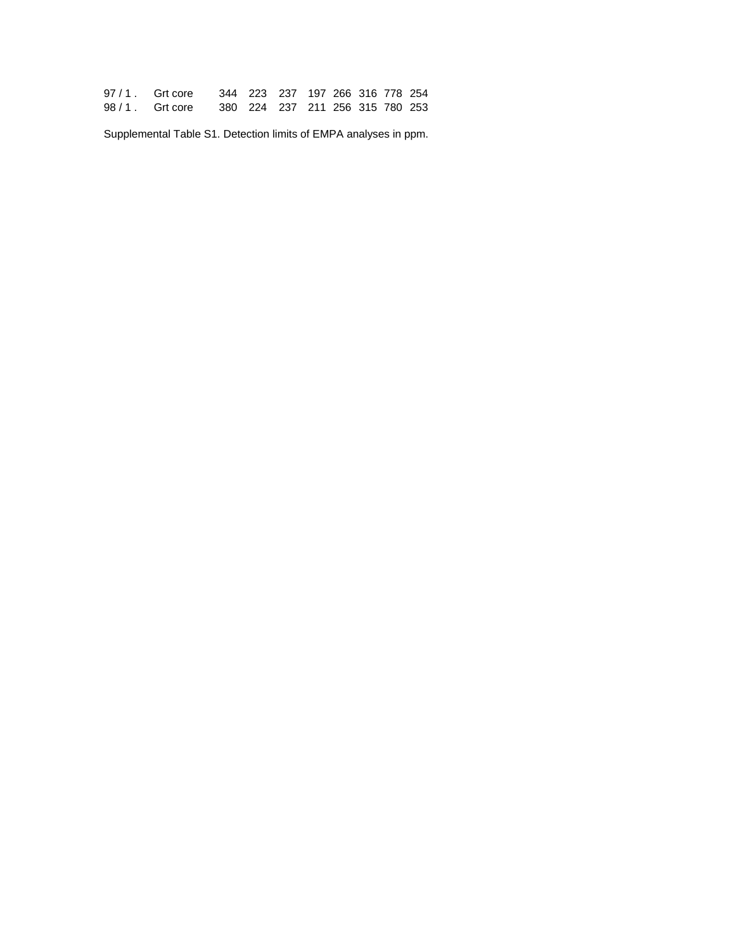| $97/1$ . Grt core | 344 223 237 197 266 316 778 254 |  |  |  |
|-------------------|---------------------------------|--|--|--|
| $98/1$ . Grt core | 380 224 237 211 256 315 780 253 |  |  |  |

Supplemental Table S1. Detection limits of EMPA analyses in ppm.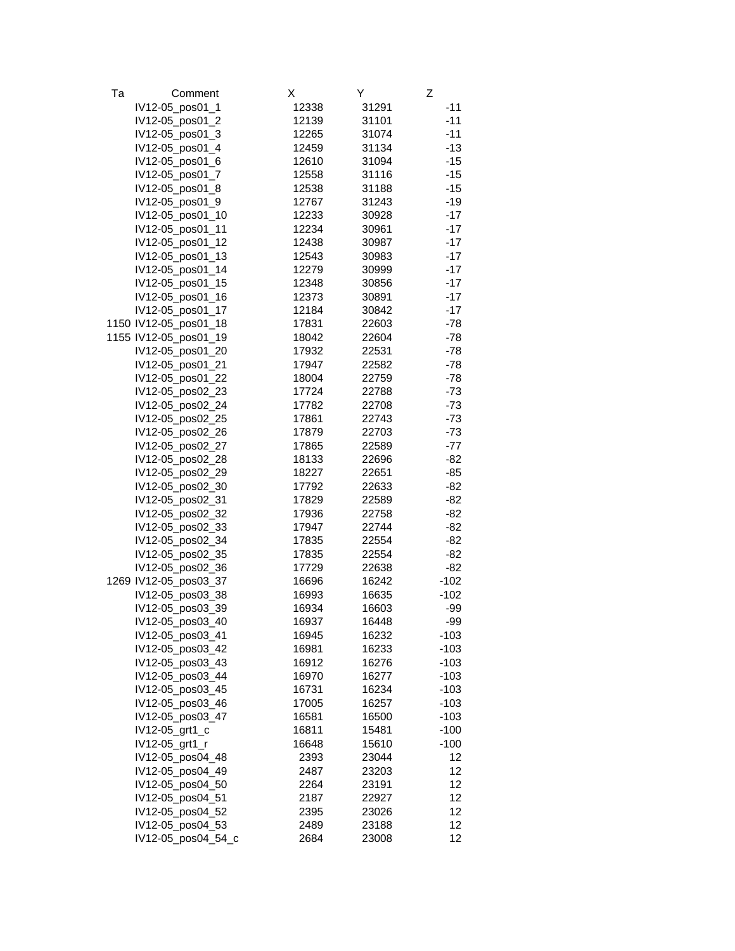| Тa | Comment               | х     | Υ     | Z      |
|----|-----------------------|-------|-------|--------|
|    | IV12-05_pos01_1       | 12338 | 31291 | $-11$  |
|    | IV12-05_pos01_2       | 12139 | 31101 | $-11$  |
|    | IV12-05_pos01_3       | 12265 | 31074 | $-11$  |
|    | IV12-05_pos01_4       | 12459 | 31134 | $-13$  |
|    | IV12-05_pos01_6       | 12610 | 31094 | $-15$  |
|    | IV12-05_pos01_7       | 12558 | 31116 | $-15$  |
|    | IV12-05_pos01_8       | 12538 | 31188 | $-15$  |
|    | IV12-05_pos01_9       | 12767 | 31243 | $-19$  |
|    | IV12-05_pos01_10      | 12233 | 30928 | $-17$  |
|    | IV12-05_pos01_11      | 12234 |       | $-17$  |
|    |                       | 12438 | 30961 | $-17$  |
|    | IV12-05_pos01_12      |       | 30987 | $-17$  |
|    | IV12-05_pos01_13      | 12543 | 30983 |        |
|    | IV12-05_pos01_14      | 12279 | 30999 | $-17$  |
|    | IV12-05_pos01_15      | 12348 | 30856 | $-17$  |
|    | IV12-05_pos01_16      | 12373 | 30891 | $-17$  |
|    | IV12-05_pos01_17      | 12184 | 30842 | $-17$  |
|    | 1150 IV12-05_pos01_18 | 17831 | 22603 | -78    |
|    | 1155 IV12-05_pos01_19 | 18042 | 22604 | -78    |
|    | IV12-05_pos01_20      | 17932 | 22531 | -78    |
|    | IV12-05_pos01_21      | 17947 | 22582 | -78    |
|    | IV12-05_pos01_22      | 18004 | 22759 | $-78$  |
|    | IV12-05_pos02_23      | 17724 | 22788 | -73    |
|    | IV12-05_pos02_24      | 17782 | 22708 | -73    |
|    | IV12-05_pos02_25      | 17861 | 22743 | -73    |
|    | IV12-05_pos02_26      | 17879 | 22703 | $-73$  |
|    | IV12-05_pos02_27      | 17865 | 22589 | -77    |
|    | IV12-05_pos02_28      | 18133 | 22696 | $-82$  |
|    | IV12-05_pos02_29      | 18227 | 22651 | -85    |
|    | IV12-05_pos02_30      | 17792 | 22633 | -82    |
|    | IV12-05_pos02_31      | 17829 | 22589 | -82    |
|    | IV12-05_pos02_32      | 17936 | 22758 | -82    |
|    | IV12-05_pos02_33      | 17947 | 22744 | -82    |
|    | IV12-05_pos02_34      | 17835 | 22554 | -82    |
|    | IV12-05_pos02_35      | 17835 | 22554 | -82    |
|    | IV12-05_pos02_36      | 17729 | 22638 | -82    |
|    | 1269 IV12-05_pos03_37 | 16696 | 16242 | $-102$ |
|    | IV12-05_pos03_38      | 16993 | 16635 | $-102$ |
|    | IV12-05_pos03_39      | 16934 | 16603 | -99    |
|    | IV12-05 pos03 40      | 16937 | 16448 | -99    |
|    | IV12-05_pos03_41      | 16945 | 16232 | $-103$ |
|    |                       |       |       | $-103$ |
|    | IV12-05_pos03_42      | 16981 | 16233 |        |
|    | IV12-05_pos03_43      | 16912 | 16276 | $-103$ |
|    | IV12-05_pos03_44      | 16970 | 16277 | $-103$ |
|    | IV12-05_pos03_45      | 16731 | 16234 | $-103$ |
|    | IV12-05_pos03_46      | 17005 | 16257 | $-103$ |
|    | IV12-05_pos03_47      | 16581 | 16500 | $-103$ |
|    | IV12-05_grt1_c        | 16811 | 15481 | $-100$ |
|    | IV12-05_grt1_r        | 16648 | 15610 | $-100$ |
|    | IV12-05_pos04_48      | 2393  | 23044 | 12     |
|    | IV12-05_pos04_49      | 2487  | 23203 | 12     |
|    | IV12-05_pos04_50      | 2264  | 23191 | 12     |
|    | IV12-05_pos04_51      | 2187  | 22927 | 12     |
|    | IV12-05_pos04_52      | 2395  | 23026 | 12     |
|    | IV12-05_pos04_53      | 2489  | 23188 | 12     |
|    | IV12-05_pos04_54_c    | 2684  | 23008 | 12     |
|    |                       |       |       |        |